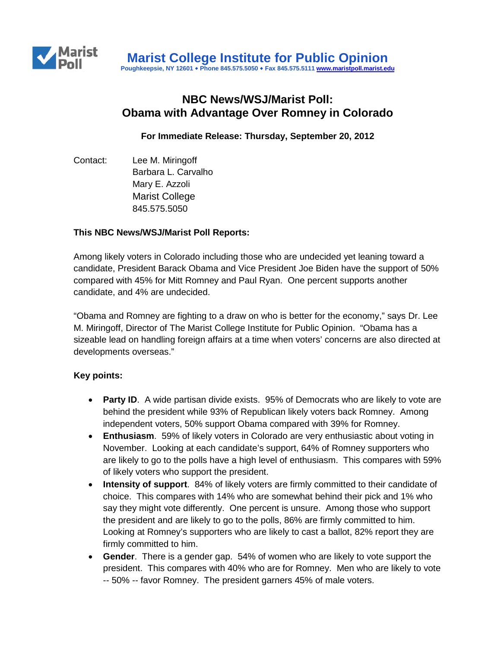

# **NBC News/WSJ/Marist Poll: Obama with Advantage Over Romney in Colorado**

**For Immediate Release: Thursday, September 20, 2012**

Contact: Lee M. Miringoff Barbara L. Carvalho Mary E. Azzoli Marist College 845.575.5050

#### **This NBC News/WSJ/Marist Poll Reports:**

Among likely voters in Colorado including those who are undecided yet leaning toward a candidate, President Barack Obama and Vice President Joe Biden have the support of 50% compared with 45% for Mitt Romney and Paul Ryan. One percent supports another candidate, and 4% are undecided.

"Obama and Romney are fighting to a draw on who is better for the economy," says Dr. Lee M. Miringoff, Director of The Marist College Institute for Public Opinion. "Obama has a sizeable lead on handling foreign affairs at a time when voters' concerns are also directed at developments overseas."

### **Key points:**

- **Party ID**. A wide partisan divide exists. 95% of Democrats who are likely to vote are behind the president while 93% of Republican likely voters back Romney. Among independent voters, 50% support Obama compared with 39% for Romney.
- **Enthusiasm**. 59% of likely voters in Colorado are very enthusiastic about voting in November. Looking at each candidate's support, 64% of Romney supporters who are likely to go to the polls have a high level of enthusiasm. This compares with 59% of likely voters who support the president.
- **Intensity of support**. 84% of likely voters are firmly committed to their candidate of choice. This compares with 14% who are somewhat behind their pick and 1% who say they might vote differently. One percent is unsure. Among those who support the president and are likely to go to the polls, 86% are firmly committed to him. Looking at Romney's supporters who are likely to cast a ballot, 82% report they are firmly committed to him.
- **Gender**. There is a gender gap. 54% of women who are likely to vote support the president. This compares with 40% who are for Romney. Men who are likely to vote -- 50% -- favor Romney. The president garners 45% of male voters.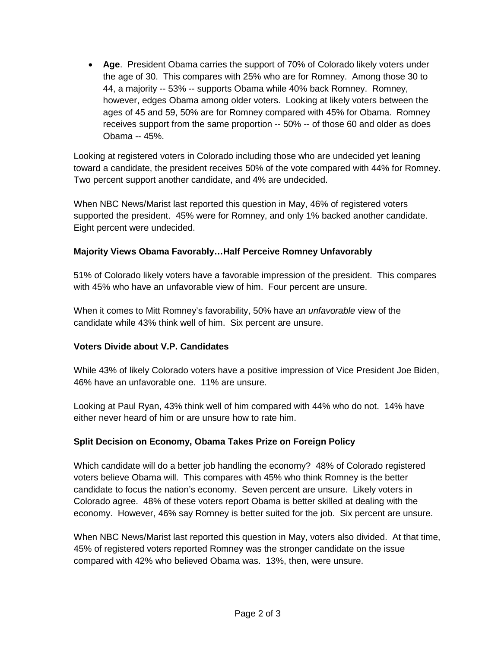• **Age**. President Obama carries the support of 70% of Colorado likely voters under the age of 30. This compares with 25% who are for Romney. Among those 30 to 44, a majority -- 53% -- supports Obama while 40% back Romney. Romney, however, edges Obama among older voters. Looking at likely voters between the ages of 45 and 59, 50% are for Romney compared with 45% for Obama. Romney receives support from the same proportion -- 50% -- of those 60 and older as does Obama -- 45%.

Looking at registered voters in Colorado including those who are undecided yet leaning toward a candidate, the president receives 50% of the vote compared with 44% for Romney. Two percent support another candidate, and 4% are undecided.

When NBC News/Marist last reported this question in May, 46% of registered voters supported the president. 45% were for Romney, and only 1% backed another candidate. Eight percent were undecided.

## **Majority Views Obama Favorably…Half Perceive Romney Unfavorably**

51% of Colorado likely voters have a favorable impression of the president. This compares with 45% who have an unfavorable view of him. Four percent are unsure.

When it comes to Mitt Romney's favorability, 50% have an *unfavorable* view of the candidate while 43% think well of him. Six percent are unsure.

### **Voters Divide about V.P. Candidates**

While 43% of likely Colorado voters have a positive impression of Vice President Joe Biden, 46% have an unfavorable one. 11% are unsure.

Looking at Paul Ryan, 43% think well of him compared with 44% who do not. 14% have either never heard of him or are unsure how to rate him.

# **Split Decision on Economy, Obama Takes Prize on Foreign Policy**

Which candidate will do a better job handling the economy? 48% of Colorado registered voters believe Obama will. This compares with 45% who think Romney is the better candidate to focus the nation's economy. Seven percent are unsure. Likely voters in Colorado agree. 48% of these voters report Obama is better skilled at dealing with the economy. However, 46% say Romney is better suited for the job. Six percent are unsure.

When NBC News/Marist last reported this question in May, voters also divided. At that time, 45% of registered voters reported Romney was the stronger candidate on the issue compared with 42% who believed Obama was. 13%, then, were unsure.